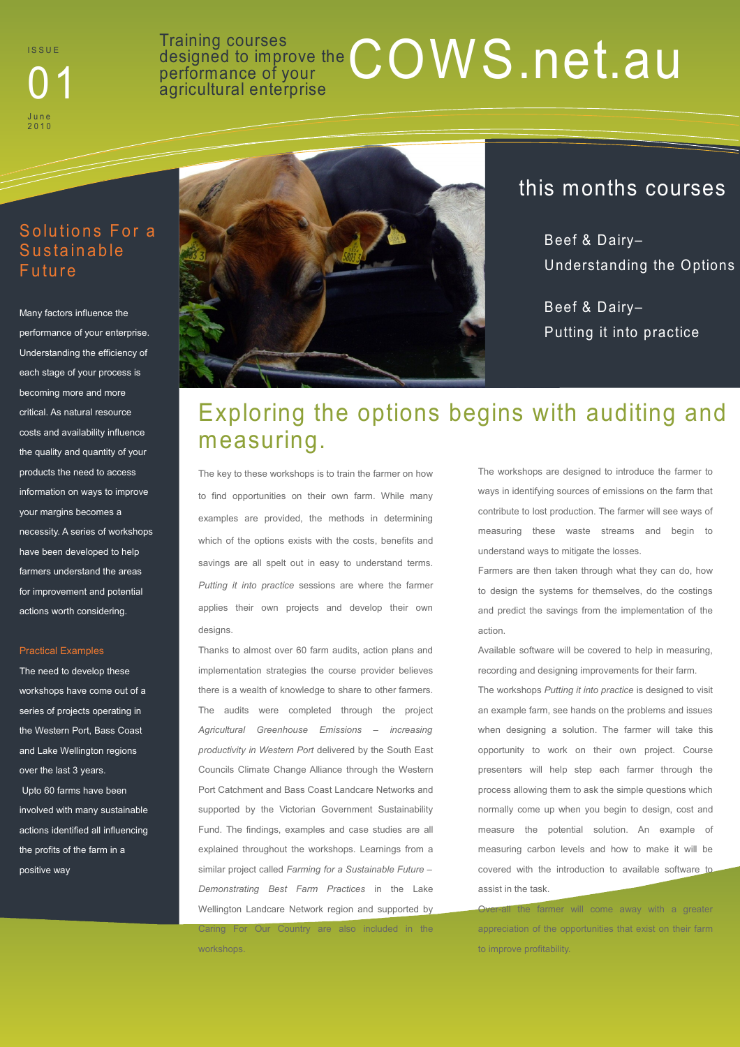**ISSUE** J u n e 2 0 1 0

### Training courses<br>designed to improve the COWS.net.au designed to improve the **01 D1 performance of your one of your**

#### Solutions For a **Sustainable Future**

Many factors influence the performance of your enterprise. Understanding the efficiency of each stage of your process is becoming more and more critical. As natural resource costs and availability influence the quality and quantity of your products the need to access information on ways to improve your margins becomes a necessity. A series of workshops have been developed to help farmers understand the areas for improvement and potential actions worth considering.

#### Practical Examples

The need to develop these workshops have come out of a series of projects operating in the Western Port, Bass Coast and Lake Wellington regions over the last 3 years. Upto 60 farms have been involved with many sustainable actions identified all influencing the profits of the farm in a positive way



### this months courses

Beef & Dairy– Understanding the Options

Beef & Dairy– Putting it into practice

## Exploring the options begins with auditing and measuring.

The key to these workshops is to train the farmer on how to find opportunities on their own farm. While many examples are provided, the methods in determining which of the options exists with the costs, benefits and savings are all spelt out in easy to understand terms. *Putting it into practice* sessions are where the farmer applies their own projects and develop their own designs.

Thanks to almost over 60 farm audits, action plans and implementation strategies the course provider believes there is a wealth of knowledge to share to other farmers. The audits were completed through the project *Agricultural Greenhouse Emissions – increasing productivity in Western Port* delivered by the South East Councils Climate Change Alliance through the Western Port Catchment and Bass Coast Landcare Networks and supported by the Victorian Government Sustainability Fund. The findings, examples and case studies are all explained throughout the workshops. Learnings from a similar project called *Farming for a Sustainable Future – Demonstrating Best Farm Practices* in the Lake Wellington Landcare Network region and supported by Caring For Our Country are also included in the

workshops.

The workshops are designed to introduce the farmer to ways in identifying sources of emissions on the farm that contribute to lost production. The farmer will see ways of measuring these waste streams and begin to understand ways to mitigate the losses.

Farmers are then taken through what they can do, how to design the systems for themselves, do the costings and predict the savings from the implementation of the action.

Available software will be covered to help in measuring recording and designing improvements for their farm.

The workshops *Putting it into practice* is designed to visit an example farm, see hands on the problems and issues when designing a solution. The farmer will take this opportunity to work on their own project. Course presenters will help step each farmer through the process allowing them to ask the simple questions which normally come up when you begin to design, cost and measure the potential solution. An example of measuring carbon levels and how to make it will be covered with the introduction to available software to assist in the task.

all the farmer will come away with a greater appreciation of the opportunities that exist on their farm to improve profitability.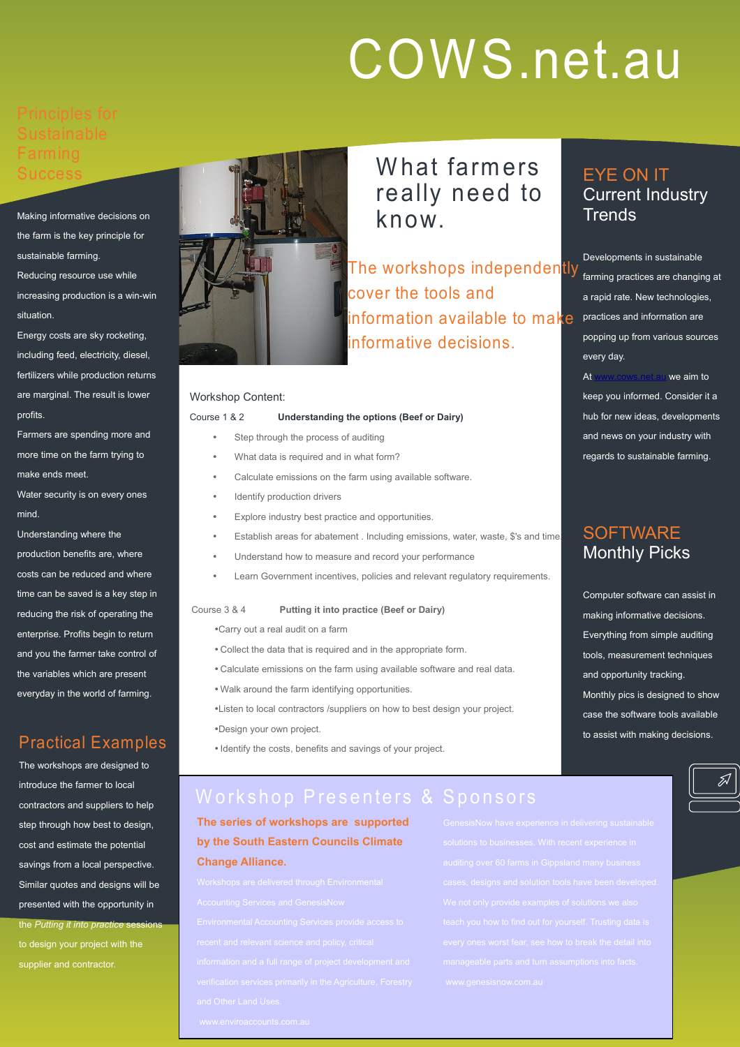# COWS.net.au

Making informative decisions on the farm is the key principle for sustainable farming.

Reducing resource use while increasing production is a win-win situation.

Energy costs are sky rocketing, including feed, electricity, diesel, fertilizers while production returns are marginal. The result is lower profits.

Farmers are spending more and more time on the farm trying to make ends meet.

Water security is on every ones mind.

Understanding where the production benefits are, where costs can be reduced and where time can be saved is a key step in reducing the risk of operating the enterprise. Profits begin to return and you the farmer take control of the variables which are present everyday in the world of farming.

#### Practical Examples

The workshops are designed to introduce the farmer to local contractors and suppliers to help step through how best to design, cost and estimate the potential savings from a local perspective. Similar quotes and designs will be presented with the opportunity in the *Putting it into practice* sessions to design your project with the supplier and contractor.



What farmers really need to know.

The workshops independently cover the tools and information available to make informative decisions.

#### Workshop Content:

#### Course 1 & 2 **Understanding the options (Beef or Dairy)**

- Step through the process of auditing
- What data is required and in what form?
- Calculate emissions on the farm using available software.
- Identify production drivers
- Explore industry best practice and opportunities.
- Establish areas for abatement . Including emissions, water, waste, \$'s and time.
- Understand how to measure and record your performance
- Learn Government incentives, policies and relevant regulatory requirements.

#### Course 3 & 4 **Putting it into practice (Beef or Dairy)**

- •Carry out a real audit on a farm
- Collect the data that is required and in the appropriate form.
- Calculate emissions on the farm using available software and real data.
- Walk around the farm identifying opportunities.
- •Listen to local contractors /suppliers on how to best design your project.
- •Design your own project.
- Identify the costs, benefits and savings of your project.

## **SOFTWARE** Monthly Picks

EYE ON IT

**Trends** 

every day.

Current Industry

Developments in sustainable farming practices are changing at a rapid rate. New technologies, practices and information are popping up from various sources

At [www.cows.net.au](http://www.cows.net.au/) we aim to keep you informed. Consider it a hub for new ideas, developments and news on your industry with regards to sustainable farming.

Computer software can assist in making informative decisions. Everything from simple auditing tools, measurement techniques and opportunity tracking. Monthly pics is designed to show case the software tools available to assist with making decisions.

### Workshop Presenters & Sponsors

**The series of workshops are supported by the South Eastern Councils Climate Change Alliance.** 

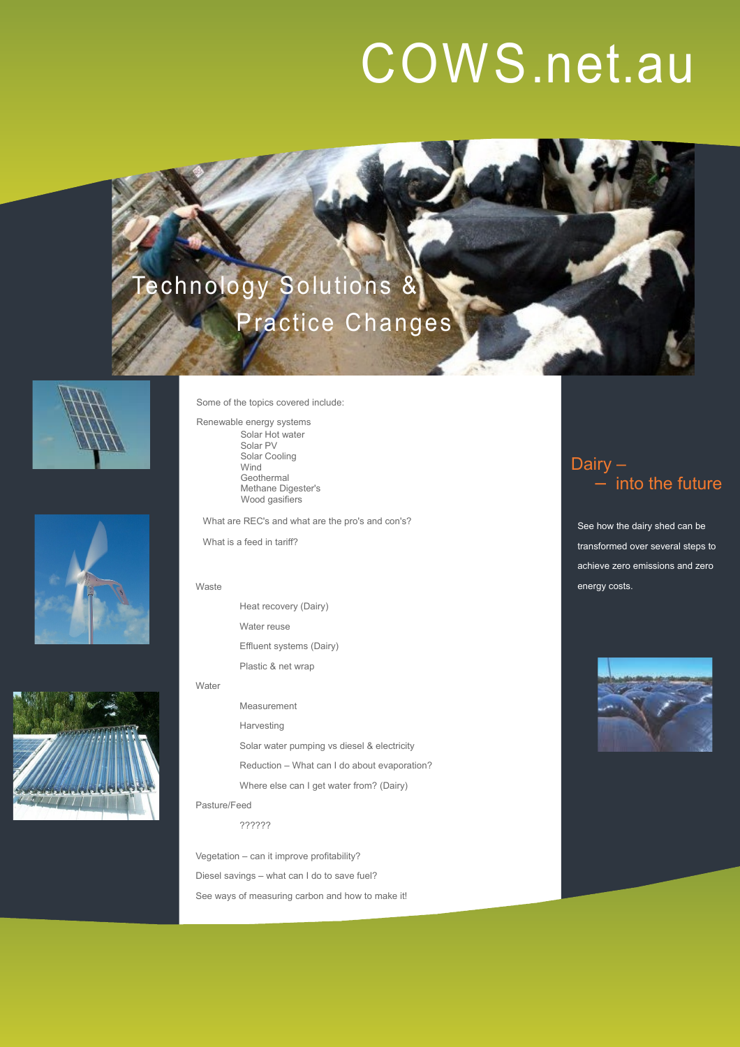## COWS.net.au

## echnology Solutions & Practice Changes







Some of the topics covered include:

Renewable energy systems Solar Hot water Solar PV Solar Cooling Wind Geothermal Methane Digester's Wood gasifiers

What are REC's and what are the pro's and con's?

What is a feed in tariff?

Heat recovery (Dairy) Water reuse Effluent systems (Dairy) Plastic & net wrap

#### Water

Measurement Harvesting Solar water pumping vs diesel & electricity Reduction – What can I do about evaporation? Where else can I get water from? (Dairy)

Pasture/Feed

??????

Vegetation – can it improve profitability? Diesel savings – what can I do to save fuel? See ways of measuring carbon and how to make it!

#### Dairy – into the future

See how the dairy shed can be transformed over several steps to achieve zero emissions and zero Waste **energy costs.** Waste